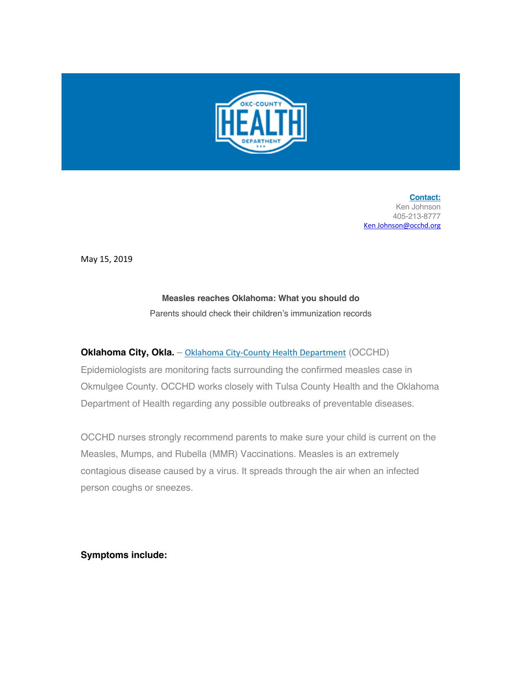

**Contact:** Ken Johnson 405-213-8777 Ken Johnson@occhd.org

May 15, 2019

## **Measles reaches Oklahoma: What you should do**

Parents should check their children's immunization records

## **Oklahoma City, Okla.** – Oklahoma City-County Health Department (OCCHD)

Epidemiologists are monitoring facts surrounding the confirmed measles case in Okmulgee County. OCCHD works closely with Tulsa County Health and the Oklahoma Department of Health regarding any possible outbreaks of preventable diseases.

OCCHD nurses strongly recommend parents to make sure your child is current on the Measles, Mumps, and Rubella (MMR) Vaccinations. Measles is an extremely contagious disease caused by a virus. It spreads through the air when an infected person coughs or sneezes.

**Symptoms include:**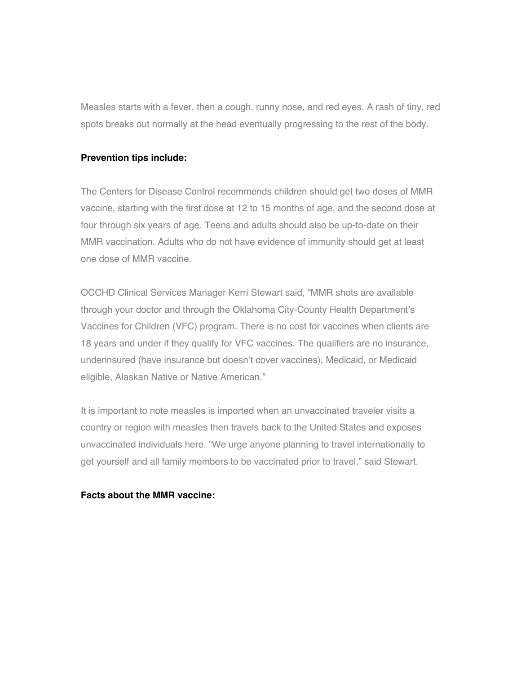Measles starts with a fever, then a cough, runny nose, and red eyes. A rash of tiny, red spots breaks out normally at the head eventually progressing to the rest of the body.

## **Prevention tips include:**

The Centers for Disease Control recommends children should get two doses of MMR vaccine, starting with the first dose at 12 to 15 months of age, and the second dose at four through six years of age. Teens and adults should also be up-to-date on their MMR vaccination. Adults who do not have evidence of immunity should get at least one dose of MMR vaccine.

OCCHD Clinical Services Manager Kerri Stewart said, "MMR shots are available through your doctor and through the Oklahoma City-County Health Department's Vaccines for Children (VFC) program. There is no cost for vaccines when clients are 18 years and under if they qualify for VFC vaccines. The qualifiers are no insurance, underinsured (have insurance but doesn't cover vaccines), Medicaid, or Medicaid eligible, Alaskan Native or Native American."

It is important to note measles is imported when an unvaccinated traveler visits a country or region with measles then travels back to the United States and exposes unvaccinated individuals here. "We urge anyone planning to travel internationally to get yourself and all family members to be vaccinated prior to travel." said Stewart.

## **Facts about the MMR vaccine:**